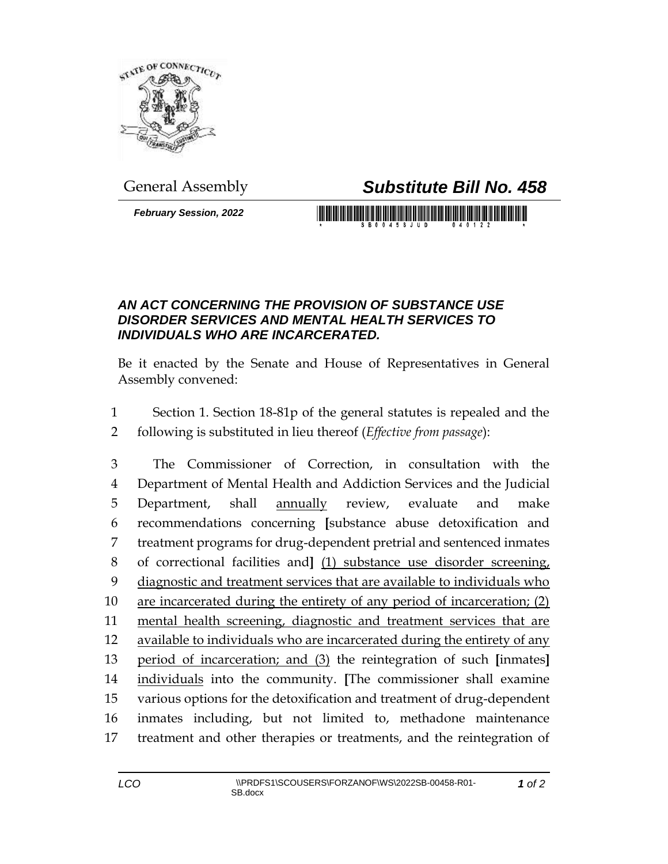

## General Assembly *Substitute Bill No. 458*

*February Session, 2022*

## 

## *AN ACT CONCERNING THE PROVISION OF SUBSTANCE USE DISORDER SERVICES AND MENTAL HEALTH SERVICES TO INDIVIDUALS WHO ARE INCARCERATED.*

Be it enacted by the Senate and House of Representatives in General Assembly convened:

 Section 1. Section 18-81p of the general statutes is repealed and the following is substituted in lieu thereof (*Effective from passage*):

 The Commissioner of Correction, in consultation with the Department of Mental Health and Addiction Services and the Judicial Department, shall annually review, evaluate and make recommendations concerning **[**substance abuse detoxification and treatment programs for drug-dependent pretrial and sentenced inmates of correctional facilities and**]** (1) substance use disorder screening, diagnostic and treatment services that are available to individuals who are incarcerated during the entirety of any period of incarceration; (2) mental health screening, diagnostic and treatment services that are available to individuals who are incarcerated during the entirety of any period of incarceration; and (3) the reintegration of such **[**inmates**]** individuals into the community. **[**The commissioner shall examine various options for the detoxification and treatment of drug-dependent inmates including, but not limited to, methadone maintenance treatment and other therapies or treatments, and the reintegration of

*of 2*